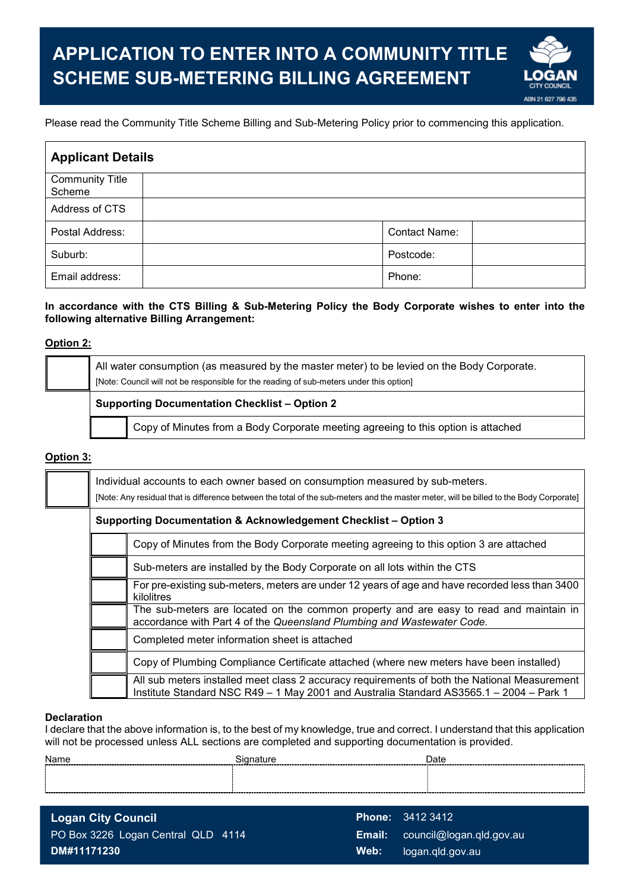

### Please read the Community Title Scheme Billing and Sub-Metering Policy prior to commencing this application.

| <b>Applicant Details</b>         |                      |  |  |  |
|----------------------------------|----------------------|--|--|--|
| <b>Community Title</b><br>Scheme |                      |  |  |  |
| Address of CTS                   |                      |  |  |  |
| Postal Address:                  | <b>Contact Name:</b> |  |  |  |
| Suburb:                          | Postcode:            |  |  |  |
| Email address:                   | Phone:               |  |  |  |

#### **In accordance with the CTS Billing & Sub-Metering Policy the Body Corporate wishes to enter into the following alternative Billing Arrangement:**

#### **Option 2:**

|                                                      | All water consumption (as measured by the master meter) to be levied on the Body Corporate.<br>[Note: Council will not be responsible for the reading of sub-meters under this option] |  |  |  |
|------------------------------------------------------|----------------------------------------------------------------------------------------------------------------------------------------------------------------------------------------|--|--|--|
| <b>Supporting Documentation Checklist - Option 2</b> |                                                                                                                                                                                        |  |  |  |
|                                                      | Copy of Minutes from a Body Corporate meeting agreeing to this option is attached                                                                                                      |  |  |  |

## **Option 3:**

| Individual accounts to each owner based on consumption measured by sub-meters.<br>[Note: Any residual that is difference between the total of the sub-meters and the master meter, will be billed to the Body Corporate] |  |  |  |  |  |  |
|--------------------------------------------------------------------------------------------------------------------------------------------------------------------------------------------------------------------------|--|--|--|--|--|--|
| Supporting Documentation & Acknowledgement Checklist - Option 3                                                                                                                                                          |  |  |  |  |  |  |
| Copy of Minutes from the Body Corporate meeting agreeing to this option 3 are attached                                                                                                                                   |  |  |  |  |  |  |
| Sub-meters are installed by the Body Corporate on all lots within the CTS                                                                                                                                                |  |  |  |  |  |  |
| For pre-existing sub-meters, meters are under 12 years of age and have recorded less than 3400<br>kilolitres                                                                                                             |  |  |  |  |  |  |
| The sub-meters are located on the common property and are easy to read and maintain in<br>accordance with Part 4 of the Queensland Plumbing and Wastewater Code.                                                         |  |  |  |  |  |  |
| Completed meter information sheet is attached                                                                                                                                                                            |  |  |  |  |  |  |
| Copy of Plumbing Compliance Certificate attached (where new meters have been installed)                                                                                                                                  |  |  |  |  |  |  |
| All sub meters installed meet class 2 accuracy requirements of both the National Measurement<br>Institute Standard NSC R49 - 1 May 2001 and Australia Standard AS3565.1 - 2004 - Park 1                                  |  |  |  |  |  |  |

#### **Declaration**

 I declare that the above information is, to the best of my knowledge, true and correct. I understand that this application will not be processed unless ALL sections are completed and supporting documentation is provided.

| Name | ------------------------ | Date |
|------|--------------------------|------|
|      |                          |      |
|      |                          |      |
|      |                          |      |

**Logan City Council**  PO Box 3226 Logan Central QLD 4114 **DM#11171230** 

**Phone:** 3412 3412 **Email:** council@logan.qld.gov.au **Web:** logan.qld.gov.au